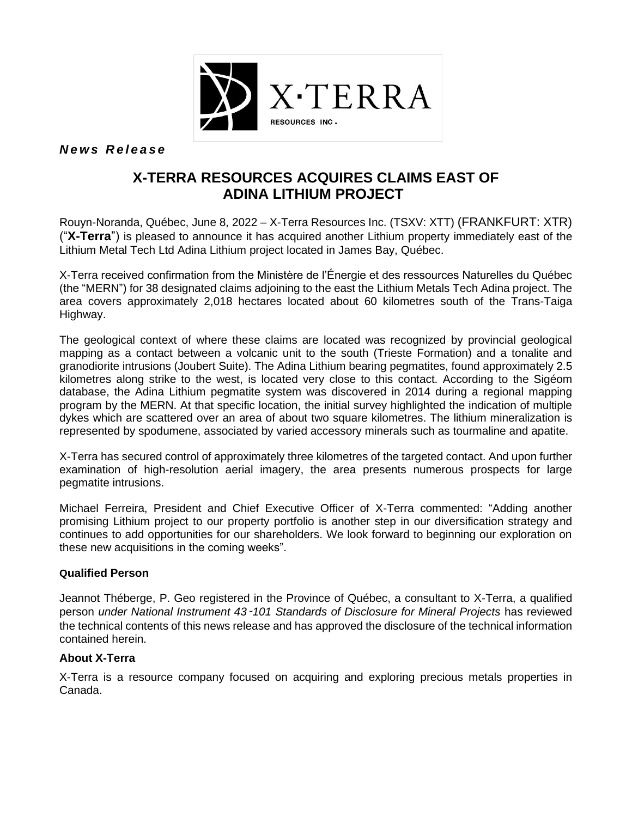

*N e w s R e l e a s e*

# **X-TERRA RESOURCES ACQUIRES CLAIMS EAST OF ADINA LITHIUM PROJECT**

Rouyn-Noranda, Québec, June 8, 2022 – X-Terra Resources Inc. (TSXV: XTT) (FRANKFURT: XTR) ("**X-Terra**") is pleased to announce it has acquired another Lithium property immediately east of the Lithium Metal Tech Ltd Adina Lithium project located in James Bay, Québec.

X-Terra received confirmation from the Ministère de l'Énergie et des ressources Naturelles du Québec (the "MERN") for 38 designated claims adjoining to the east the Lithium Metals Tech Adina project. The area covers approximately 2,018 hectares located about 60 kilometres south of the Trans-Taiga Highway.

The geological context of where these claims are located was recognized by provincial geological mapping as a contact between a volcanic unit to the south (Trieste Formation) and a tonalite and granodiorite intrusions (Joubert Suite). The Adina Lithium bearing pegmatites, found approximately 2.5 kilometres along strike to the west, is located very close to this contact. According to the Sigéom database, the Adina Lithium pegmatite system was discovered in 2014 during a regional mapping program by the MERN. At that specific location, the initial survey highlighted the indication of multiple dykes which are scattered over an area of about two square kilometres. The lithium mineralization is represented by spodumene, associated by varied accessory minerals such as tourmaline and apatite.

X-Terra has secured control of approximately three kilometres of the targeted contact. And upon further examination of high-resolution aerial imagery, the area presents numerous prospects for large pegmatite intrusions.

Michael Ferreira, President and Chief Executive Officer of X-Terra commented: "Adding another promising Lithium project to our property portfolio is another step in our diversification strategy and continues to add opportunities for our shareholders. We look forward to beginning our exploration on these new acquisitions in the coming weeks".

### **Qualified Person**

Jeannot Théberge, P. Geo registered in the Province of Québec, a consultant to X-Terra, a qualified person *under National Instrument 43*‑*101 Standards of Disclosure for Mineral Projects* has reviewed the technical contents of this news release and has approved the disclosure of the technical information contained herein.

## **About X-Terra**

X-Terra is a resource company focused on acquiring and exploring precious metals properties in Canada.